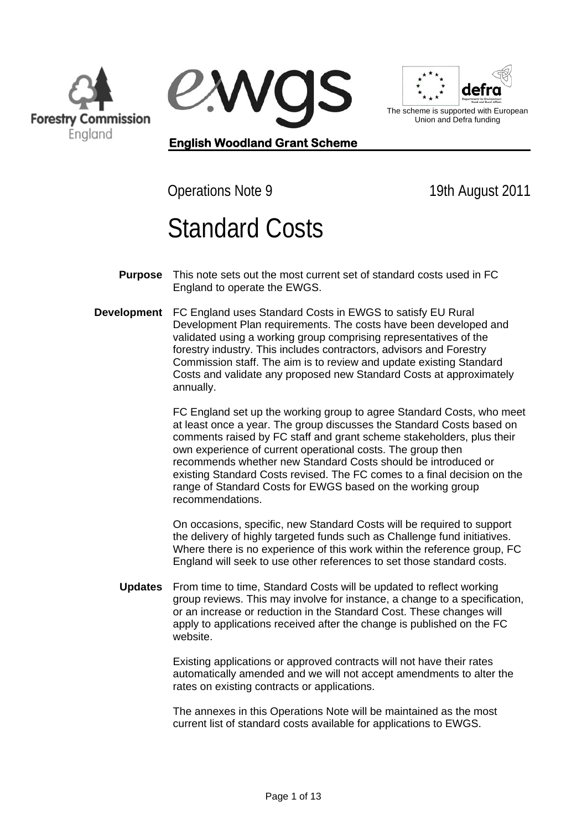





**English Woodland Grant Scheme**

Operations Note 9 19th August 2011



## Standard Costs

**Purpose** This note sets out the most current set of standard costs used in FC England to operate the EWGS.

**Development** FC England uses Standard Costs in EWGS to satisfy EU Rural Development Plan requirements. The costs have been developed and validated using a working group comprising representatives of the forestry industry. This includes contractors, advisors and Forestry Commission staff. The aim is to review and update existing Standard Costs and validate any proposed new Standard Costs at approximately annually.

> FC England set up the working group to agree Standard Costs, who meet at least once a year. The group discusses the Standard Costs based on comments raised by FC staff and grant scheme stakeholders, plus their own experience of current operational costs. The group then recommends whether new Standard Costs should be introduced or existing Standard Costs revised. The FC comes to a final decision on the range of Standard Costs for EWGS based on the working group recommendations.

On occasions, specific, new Standard Costs will be required to support the delivery of highly targeted funds such as Challenge fund initiatives. Where there is no experience of this work within the reference group, FC England will seek to use other references to set those standard costs.

**Updates** From time to time, Standard Costs will be updated to reflect working group reviews. This may involve for instance, a change to a specification, or an increase or reduction in the Standard Cost. These changes will apply to applications received after the change is published on the FC website.

> Existing applications or approved contracts will not have their rates automatically amended and we will not accept amendments to alter the rates on existing contracts or applications.

The annexes in this Operations Note will be maintained as the most current list of standard costs available for applications to EWGS.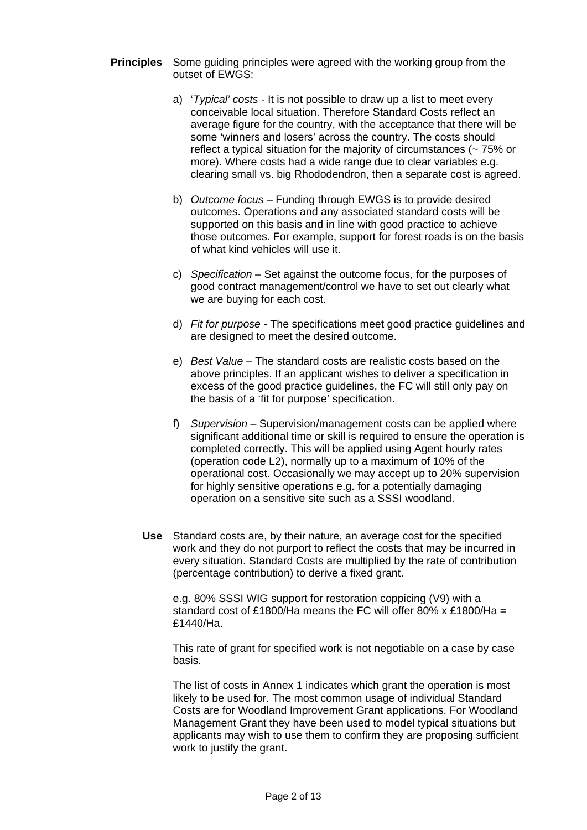- **Principles** Some guiding principles were agreed with the working group from the outset of EWGS:
	- a) '*Typical' costs* It is not possible to draw up a list to meet every conceivable local situation. Therefore Standard Costs reflect an average figure for the country, with the acceptance that there will be some 'winners and losers' across the country. The costs should reflect a typical situation for the majority of circumstances  $($   $\sim$  75% or more). Where costs had a wide range due to clear variables e.g. clearing small vs. big Rhododendron, then a separate cost is agreed.
	- b) *Outcome focus* Funding through EWGS is to provide desired outcomes. Operations and any associated standard costs will be supported on this basis and in line with good practice to achieve those outcomes. For example, support for forest roads is on the basis of what kind vehicles will use it.
	- c) *Specification*  Set against the outcome focus, for the purposes of good contract management/control we have to set out clearly what we are buying for each cost.
	- d) *Fit for purpose* The specifications meet good practice guidelines and are designed to meet the desired outcome.
	- e) *Best Value* The standard costs are realistic costs based on the above principles. If an applicant wishes to deliver a specification in excess of the good practice guidelines, the FC will still only pay on the basis of a 'fit for purpose' specification.
	- f) *Supervision*  Supervision/management costs can be applied where significant additional time or skill is required to ensure the operation is completed correctly. This will be applied using Agent hourly rates (operation code L2), normally up to a maximum of 10% of the operational cost. Occasionally we may accept up to 20% supervision for highly sensitive operations e.g. for a potentially damaging operation on a sensitive site such as a SSSI woodland.
	- **Use** Standard costs are, by their nature, an average cost for the specified work and they do not purport to reflect the costs that may be incurred in every situation. Standard Costs are multiplied by the rate of contribution (percentage contribution) to derive a fixed grant.

e.g. 80% SSSI WIG support for restoration coppicing (V9) with a standard cost of £1800/Ha means the FC will offer 80% x £1800/Ha = £1440/Ha.

This rate of grant for specified work is not negotiable on a case by case basis.

The list of costs in Annex 1 indicates which grant the operation is most likely to be used for. The most common usage of individual Standard Costs are for Woodland Improvement Grant applications. For Woodland Management Grant they have been used to model typical situations but applicants may wish to use them to confirm they are proposing sufficient work to justify the grant.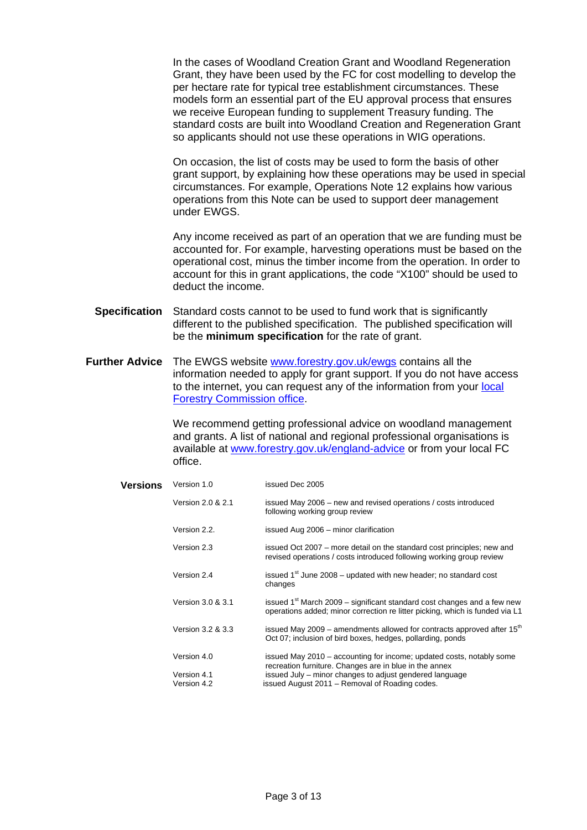In the cases of Woodland Creation Grant and Woodland Regeneration Grant, they have been used by the FC for cost modelling to develop the per hectare rate for typical tree establishment circumstances. These models form an essential part of the EU approval process that ensures we receive European funding to supplement Treasury funding. The standard costs are built into Woodland Creation and Regeneration Grant so applicants should not use these operations in WIG operations.

On occasion, the list of costs may be used to form the basis of other grant support, by explaining how these operations may be used in special circumstances. For example, Operations Note 12 explains how various operations from this Note can be used to support deer management under EWGS.

Any income received as part of an operation that we are funding must be accounted for. For example, harvesting operations must be based on the operational cost, minus the timber income from the operation. In order to account for this in grant applications, the code "X100" should be used to deduct the income.

- **Specification** Standard costs cannot to be used to fund work that is significantly different to the published specification. The published specification will be the **minimum specification** for the rate of grant.
- **Further Advice** The EWGS website [www.forestry.gov.uk/ewgs](http://www.forestry.gov.uk/ewgs) contains all the information needed to apply for grant support. If you do not have access to the internet, you can request any of the information from your [local](http://www.forestry.gov.uk/pdf/eng-regional-directory.pdf/$FILE/eng-regional-directory.pdf)  [Forestry Commission office.](http://www.forestry.gov.uk/pdf/eng-regional-directory.pdf/$FILE/eng-regional-directory.pdf)

We recommend getting professional advice on woodland management and grants. A list of national and regional professional organisations is available at www.forestry.gov.uk/england-advice or from your local FC office.

| Versions | Version 1.0                | issued Dec 2005                                                                                                                                                     |
|----------|----------------------------|---------------------------------------------------------------------------------------------------------------------------------------------------------------------|
|          | Version 2.0 & 2.1          | issued May 2006 – new and revised operations / costs introduced<br>following working group review                                                                   |
|          | Version 2.2.               | issued Aug 2006 – minor clarification                                                                                                                               |
|          | Version 2.3                | issued Oct 2007 – more detail on the standard cost principles; new and<br>revised operations / costs introduced following working group review                      |
|          | Version 2.4                | issued $1st$ June 2008 – updated with new header; no standard cost<br>changes                                                                                       |
|          | Version 3.0 & 3.1          | issued 1 <sup>st</sup> March 2009 – significant standard cost changes and a few new<br>operations added; minor correction re litter picking, which is funded via L1 |
|          | Version 3.2 & 3.3          | issued May 2009 – amendments allowed for contracts approved after 15 <sup>th</sup><br>Oct 07; inclusion of bird boxes, hedges, pollarding, ponds                    |
|          | Version 4.0                | issued May 2010 – accounting for income; updated costs, notably some<br>recreation furniture. Changes are in blue in the annex                                      |
|          | Version 4.1<br>Version 4.2 | issued July - minor changes to adjust gendered language<br>issued August 2011 – Removal of Roading codes.                                                           |
|          |                            |                                                                                                                                                                     |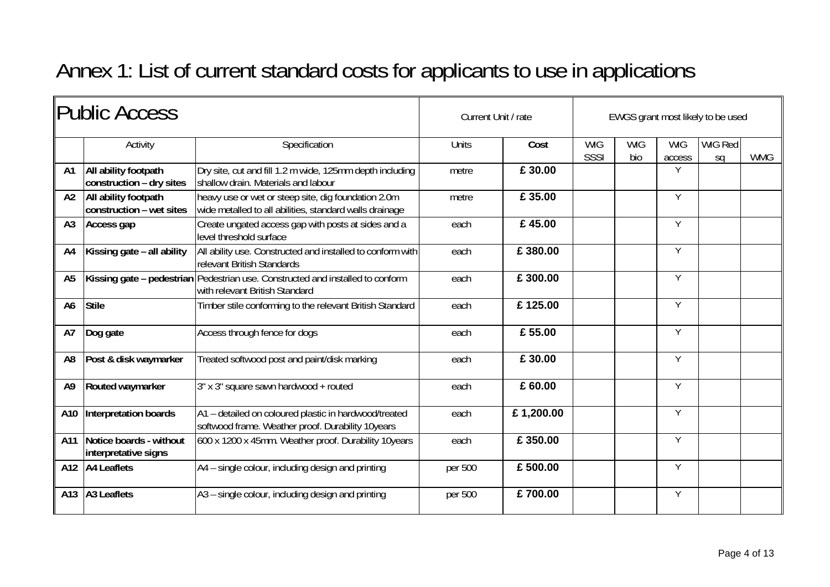## Annex 1: List of current standard costs for applicants to use in applications

|                | Public Access                                    |                                                                                                                  | Current Unit / rate |           | EWGS grant most likely to be used |                   |                      |               |            |  |
|----------------|--------------------------------------------------|------------------------------------------------------------------------------------------------------------------|---------------------|-----------|-----------------------------------|-------------------|----------------------|---------------|------------|--|
|                | Activity                                         | Specification                                                                                                    | Units               | Cost      | <b>WIG</b><br>SSSI                | <b>WIG</b><br>bio | <b>WIG</b><br>access | WIG Red<br>sq | <b>WMG</b> |  |
| A <sub>1</sub> | All ability footpath<br>construction - dry sites | Dry site, cut and fill 1.2 m wide, 125mm depth including<br>shallow drain. Materials and labour                  | metre               | £30.00    |                                   |                   |                      |               |            |  |
| A2             | All ability footpath<br>construction - wet sites | heavy use or wet or steep site, dig foundation 2.0m<br>wide metalled to all abilities, standard walls drainage   | metre               | £ 35.00   |                                   |                   | Y                    |               |            |  |
| A <sub>3</sub> | Access gap                                       | Create ungated access gap with posts at sides and a<br>level threshold surface                                   | each                | £45.00    |                                   |                   | Y                    |               |            |  |
| A4             | Kissing gate - all ability                       | All ability use. Constructed and installed to conform with<br>relevant British Standards                         | each                | £380.00   |                                   |                   | Y                    |               |            |  |
| A <sub>5</sub> |                                                  | Kissing gate - pedestrian Pedestrian use. Constructed and installed to conform<br>with relevant British Standard | each                | £300.00   |                                   |                   | Y                    |               |            |  |
| A <sub>6</sub> | <b>Stile</b>                                     | Timber stile conforming to the relevant British Standard                                                         | each                | £125.00   |                                   |                   | Y                    |               |            |  |
| A7             | Dog gate                                         | Access through fence for dogs                                                                                    | each                | £55.00    |                                   |                   | Υ                    |               |            |  |
| A <sub>8</sub> | Post & disk waymarker                            | Treated softwood post and paint/disk marking                                                                     | each                | £30.00    |                                   |                   | Y                    |               |            |  |
| A <sub>9</sub> | Routed waymarker                                 | 3" x 3" square sawn hardwood + routed                                                                            | each                | £60.00    |                                   |                   | Y                    |               |            |  |
| A10            | Interpretation boards                            | A1 - detailed on coloured plastic in hardwood/treated<br>softwood frame. Weather proof. Durability 10years       | each                | £1,200.00 |                                   |                   | Y                    |               |            |  |
| A11            | Notice boards - without<br>interpretative signs  | 600 x 1200 x 45mm. Weather proof. Durability 10years                                                             | each                | £350.00   |                                   |                   | Y                    |               |            |  |
|                | A12   A4 Leaflets                                | A4 - single colour, including design and printing                                                                | per 500             | £500.00   |                                   |                   | Y                    |               |            |  |
|                | A13 A3 Leaflets                                  | A3 - single colour, including design and printing                                                                | per 500             | £700.00   |                                   |                   | Y                    |               |            |  |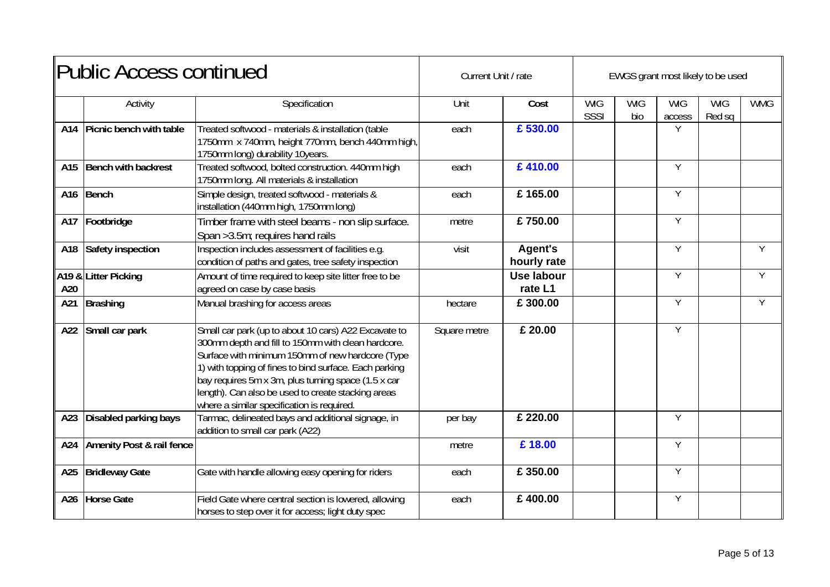|     | Public Access continued       |                                                                                                                                                                                                                                                                                                                                                                                     | Current Unit / rate |                              | EWGS grant most likely to be used |                   |                      |                      |                |  |
|-----|-------------------------------|-------------------------------------------------------------------------------------------------------------------------------------------------------------------------------------------------------------------------------------------------------------------------------------------------------------------------------------------------------------------------------------|---------------------|------------------------------|-----------------------------------|-------------------|----------------------|----------------------|----------------|--|
|     | Activity                      | Specification                                                                                                                                                                                                                                                                                                                                                                       | Unit                | Cost                         | <b>WIG</b><br>SSSI                | <b>WIG</b><br>bio | <b>WIG</b><br>access | <b>WIG</b><br>Red sq | <b>WMG</b>     |  |
| A14 | Picnic bench with table       | Treated softwood - materials & installation (table<br>1750mm x 740mm, height 770mm, bench 440mm high,<br>1750mm long) durability 10years.                                                                                                                                                                                                                                           | each                | £530.00                      |                                   |                   | Y                    |                      |                |  |
| A15 | Bench with backrest           | Treated softwood, bolted construction. 440mm high<br>1750mm long. All materials & installation                                                                                                                                                                                                                                                                                      | each                | £410.00                      |                                   |                   | Y                    |                      |                |  |
| A16 | Bench                         | Simple design, treated softwood - materials &<br>installation (440mm high, 1750mm long)                                                                                                                                                                                                                                                                                             | each                | £165.00                      |                                   |                   | Y                    |                      |                |  |
| A17 | Footbridge                    | Timber frame with steel beams - non slip surface.<br>Span > 3.5m; requires hand rails                                                                                                                                                                                                                                                                                               | metre               | £750.00                      |                                   |                   | Y                    |                      |                |  |
| A18 | Safety inspection             | Inspection includes assessment of facilities e.g.<br>condition of paths and gates, tree safety inspection                                                                                                                                                                                                                                                                           | visit               | Agent's<br>hourly rate       |                                   |                   | Y                    |                      | $\overline{Y}$ |  |
| A20 | A19 & Litter Picking          | Amount of time required to keep site litter free to be<br>agreed on case by case basis                                                                                                                                                                                                                                                                                              |                     | <b>Use labour</b><br>rate L1 |                                   |                   | Y                    |                      | Y              |  |
| A21 | $\sqrt{\frac{1}{1}}$ Brashing | Manual brashing for access areas                                                                                                                                                                                                                                                                                                                                                    | hectare             | £300.00                      |                                   |                   | Y                    |                      | Y              |  |
| A22 | Small car park                | Small car park (up to about 10 cars) A22 Excavate to<br>300mm depth and fill to 150mm with clean hardcore.<br>Surface with minimum 150mm of new hardcore (Type<br>1) with topping of fines to bind surface. Each parking<br>bay requires 5m x 3m, plus turning space (1.5 x car<br>length). Can also be used to create stacking areas<br>where a similar specification is required. | Square metre        | £ 20.00                      |                                   |                   | Y                    |                      |                |  |
| A23 | Disabled parking bays         | Tarmac, delineated bays and additional signage, in<br>addition to small car park (A22)                                                                                                                                                                                                                                                                                              | per bay             | £ 220.00                     |                                   |                   | Y                    |                      |                |  |
| A24 | Amenity Post & rail fence     |                                                                                                                                                                                                                                                                                                                                                                                     | metre               | £18.00                       |                                   |                   | Y                    |                      |                |  |
| A25 | <b>Bridleway Gate</b>         | Gate with handle allowing easy opening for riders                                                                                                                                                                                                                                                                                                                                   | each                | £350.00                      |                                   |                   | Y                    |                      |                |  |
| A26 | <b>Horse Gate</b>             | Field Gate where central section is lowered, allowing<br>horses to step over it for access; light duty spec                                                                                                                                                                                                                                                                         | each                | £400.00                      |                                   |                   | Y                    |                      |                |  |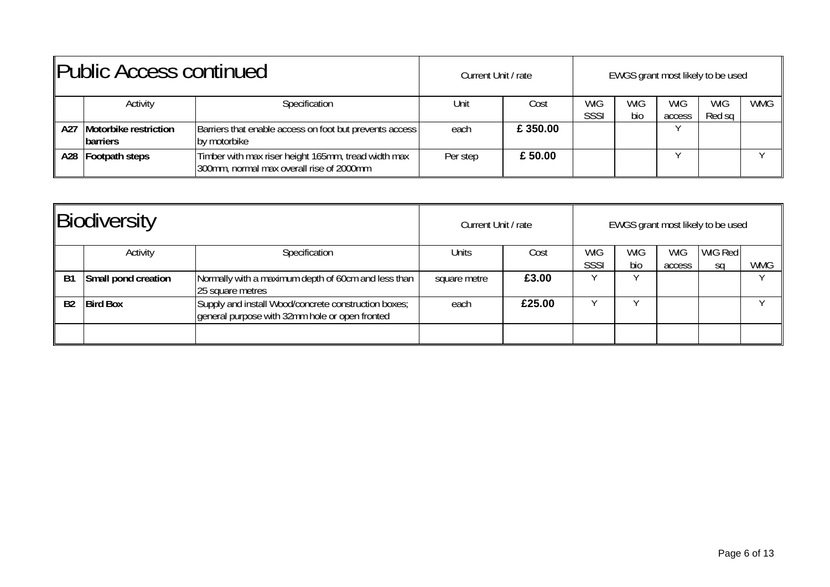| Public Access continued |                                           | Current Unit / rate                                                                             |          | EWGS grant most likely to be used |             |                   |                      |                      |     |
|-------------------------|-------------------------------------------|-------------------------------------------------------------------------------------------------|----------|-----------------------------------|-------------|-------------------|----------------------|----------------------|-----|
|                         | Activity                                  | Specification                                                                                   | Unit     | Cost                              | WIG<br>SSSI | <b>WIG</b><br>bio | <b>WIG</b><br>access | <b>WIG</b><br>Red sq | WMG |
| A27                     | Motorbike restriction<br><b>Ibarriers</b> | Barriers that enable access on foot but prevents access<br>by motorbike                         | each     | £350.00                           |             |                   |                      |                      |     |
| A28                     | <b>Footpath steps</b>                     | Timber with max riser height 165mm, tread width max<br>300mm, normal max overall rise of 2000mm | Per step | £50.00                            |             |                   |                      |                      |     |

| Biodiversity   |                     | Current Unit / rate                                                                                    |              | EWGS grant most likely to be used |      |            |            |         |     |
|----------------|---------------------|--------------------------------------------------------------------------------------------------------|--------------|-----------------------------------|------|------------|------------|---------|-----|
|                | Activity            | Specification                                                                                          | <b>Units</b> | Cost                              | WIG  | <b>WIG</b> | <b>WIG</b> | WIG Red |     |
|                |                     |                                                                                                        |              |                                   | SSSI | bio        | access     | sq      | WMG |
| B <sub>1</sub> | Small pond creation | Normally with a maximum depth of 60cm and less than<br>25 square metres                                | square metre | £3.00                             |      |            |            |         |     |
| B <sub>2</sub> | <b>Bird Box</b>     | Supply and install Wood/concrete construction boxes;<br>general purpose with 32mm hole or open fronted | each         | £25.00                            |      |            |            |         |     |
|                |                     |                                                                                                        |              |                                   |      |            |            |         |     |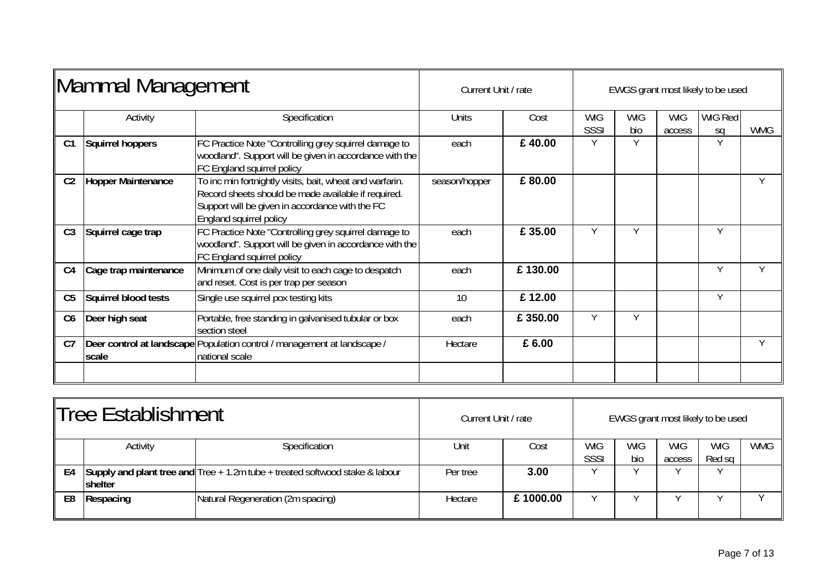|                | Mammal Management         |                                                                                                                                                                                               | Current Unit / rate |         | EWGS grant most likely to be used |                   |                      |               |            |  |
|----------------|---------------------------|-----------------------------------------------------------------------------------------------------------------------------------------------------------------------------------------------|---------------------|---------|-----------------------------------|-------------------|----------------------|---------------|------------|--|
|                | Activity                  | Specification                                                                                                                                                                                 | <b>Units</b>        | Cost    | <b>WIG</b><br>SSSI                | <b>WIG</b><br>bio | <b>WIG</b><br>access | WIG Red<br>sq | <b>WMG</b> |  |
| C <sub>1</sub> | Squirrel hoppers          | FC Practice Note "Controlling grey squirrel damage to<br>woodland". Support will be given in accordance with the<br>FC England squirrel policy                                                | each                | £40.00  | Y                                 |                   |                      | Y             |            |  |
| C <sub>2</sub> | <b>Hopper Maintenance</b> | To inc min fortnightly visits, bait, wheat and warfarin.<br>Record sheets should be made available if required.<br>Support will be given in accordance with the FC<br>England squirrel policy | season/hopper       | £80.00  |                                   |                   |                      |               | Y          |  |
| C <sub>3</sub> | Squirrel cage trap        | FC Practice Note "Controlling grey squirrel damage to<br>woodland". Support will be given in accordance with the<br>FC England squirrel policy                                                | each                | £35.00  | Y                                 | Y                 |                      | Y             |            |  |
| C <sub>4</sub> | Cage trap maintenance     | Minimum of one daily visit to each cage to despatch<br>and reset. Cost is per trap per season                                                                                                 | each                | £130.00 |                                   |                   |                      | Y             | Y          |  |
| C <sub>5</sub> | Squirrel blood tests      | Single use squirrel pox testing kits                                                                                                                                                          | 10                  | £12.00  |                                   |                   |                      | Y             |            |  |
| C <sub>6</sub> | Deer high seat            | Portable, free standing in galvanised tubular or box<br>section steel                                                                                                                         | each                | £350.00 | Y                                 | Υ                 |                      |               |            |  |
| C <sub>7</sub> | scale                     | Deer control at landscape Population control / management at landscape /<br>national scale                                                                                                    | Hectare             | £6.00   |                                   |                   |                      |               | Y          |  |
|                |                           |                                                                                                                                                                                               |                     |         |                                   |                   |                      |               |            |  |

|    | <b>Tree Establishment</b> |                                                                                        | Current Unit / rate |          | EWGS grant most likely to be used |                   |                      |                      |            |  |
|----|---------------------------|----------------------------------------------------------------------------------------|---------------------|----------|-----------------------------------|-------------------|----------------------|----------------------|------------|--|
|    | Activity                  | Specification                                                                          | Unit                | Cost     | WIG<br>SSSI                       | <b>WIG</b><br>bio | <b>WIG</b><br>access | <b>WIG</b><br>Red sq | <b>WMG</b> |  |
| E4 | <b>shelter</b>            | <b>Supply and plant tree and</b> Tree $+1.2m$ tube $+$ treated softwood stake & labour | Per tree            | 3.00     |                                   |                   |                      |                      |            |  |
| E8 | Respacing                 | Natural Regeneration (2m spacing)                                                      | Hectare             | £1000.00 |                                   |                   |                      |                      |            |  |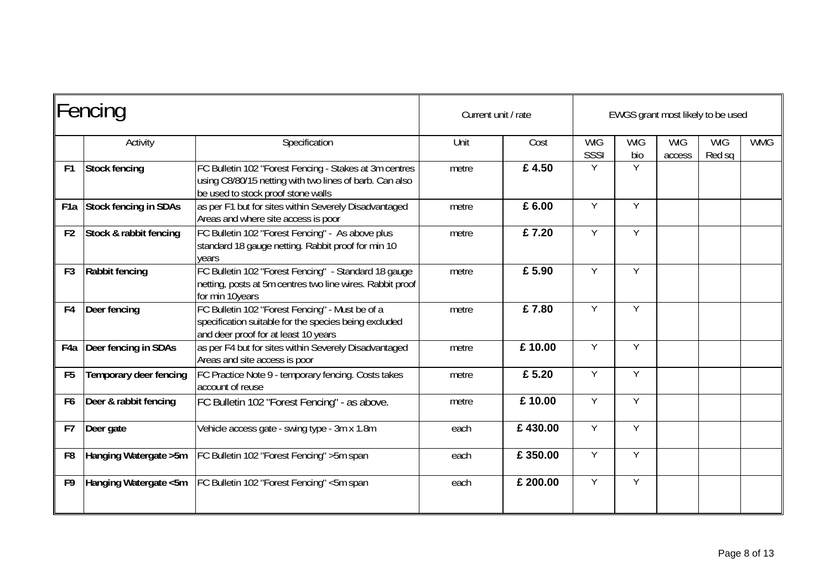|                  | Fencing                      |                                                                                                                                                         | Current unit / rate |          | EWGS grant most likely to be used |                   |                      |                      |            |  |
|------------------|------------------------------|---------------------------------------------------------------------------------------------------------------------------------------------------------|---------------------|----------|-----------------------------------|-------------------|----------------------|----------------------|------------|--|
|                  | Activity                     | Specification                                                                                                                                           | Unit                | Cost     | <b>WIG</b><br>SSSI                | <b>WIG</b><br>bio | <b>WIG</b><br>access | <b>WIG</b><br>Red sq | <b>WMG</b> |  |
| F <sub>1</sub>   | Stock fencing                | FC Bulletin 102 "Forest Fencing - Stakes at 3m centres<br>using C8/80/15 netting with two lines of barb. Can also<br>be used to stock proof stone walls | metre               | £4.50    | Y                                 | Y                 |                      |                      |            |  |
| F <sub>1</sub> a | <b>Stock fencing in SDAs</b> | as per F1 but for sites within Severely Disadvantaged<br>Areas and where site access is poor                                                            | metre               | £6.00    | Y                                 | Y                 |                      |                      |            |  |
| F <sub>2</sub>   | Stock & rabbit fencing       | FC Bulletin 102 "Forest Fencing" - As above plus<br>standard 18 gauge netting. Rabbit proof for min 10<br>years                                         | metre               | £7.20    | Y                                 | Y                 |                      |                      |            |  |
| F <sub>3</sub>   | Rabbit fencing               | FC Bulletin 102 "Forest Fencing" - Standard 18 gauge<br>netting, posts at 5m centres two line wires. Rabbit proof<br>for min 10years                    | metre               | £5.90    | Y                                 | Y                 |                      |                      |            |  |
| F4               | Deer fencing                 | FC Bulletin 102 "Forest Fencing" - Must be of a<br>specification suitable for the species being excluded<br>and deer proof for at least 10 years        | metre               | £7.80    | Y                                 | Y                 |                      |                      |            |  |
| F <sub>4</sub> a | Deer fencing in SDAs         | as per F4 but for sites within Severely Disadvantaged<br>Areas and site access is poor                                                                  | metre               | £10.00   | Y                                 | Y                 |                      |                      |            |  |
| F <sub>5</sub>   | Temporary deer fencing       | FC Practice Note 9 - temporary fencing. Costs takes<br>account of reuse                                                                                 | metre               | £5.20    | Y                                 | Y                 |                      |                      |            |  |
| F <sub>6</sub>   | Deer & rabbit fencing        | FC Bulletin 102 "Forest Fencing" - as above.                                                                                                            | metre               | £10.00   | Y                                 | Y                 |                      |                      |            |  |
| F7               | Deer gate                    | Vehicle access gate - swing type - 3m x 1.8m                                                                                                            | each                | £430.00  | Y                                 | Y                 |                      |                      |            |  |
| F <sub>8</sub>   | Hanging Watergate >5m        | FC Bulletin 102 "Forest Fencing" > 5m span                                                                                                              | each                | £350.00  | Y                                 | Y                 |                      |                      |            |  |
| F <sub>9</sub>   | Hanging Watergate <5m        | FC Bulletin 102 "Forest Fencing" <5m span                                                                                                               | each                | £ 200.00 | Y                                 | Y                 |                      |                      |            |  |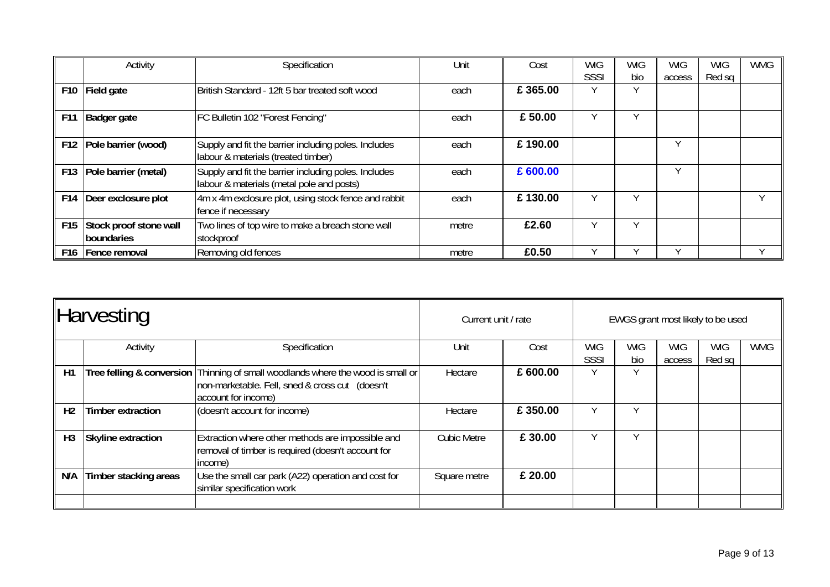|     | Activity                                 | Specification                                                                                     | Unit  | Cost    | <b>WIG</b> | WIG       | <b>WIG</b> | <b>WIG</b> | <b>WMG</b> |
|-----|------------------------------------------|---------------------------------------------------------------------------------------------------|-------|---------|------------|-----------|------------|------------|------------|
|     |                                          |                                                                                                   |       |         | SSSI       | bio       | access     | Red sq     |            |
| F10 | Field gate                               | British Standard - 12ft 5 bar treated soft wood                                                   | each  | £365.00 |            | $\vee$    |            |            |            |
| F11 | Badger gate                              | FC Bulletin 102 "Forest Fencing"                                                                  | each  | £50.00  | v          | $\vee$    |            |            |            |
|     | F12   Pole barrier (wood)                | Supply and fit the barrier including poles. Includes<br>labour & materials (treated timber)       | each  | £190.00 |            |           |            |            |            |
|     | F13 Pole barrier (metal)                 | Supply and fit the barrier including poles. Includes<br>labour & materials (metal pole and posts) | each  | £600.00 |            |           |            |            |            |
| F14 | Deer exclosure plot                      | 4m x 4m exclosure plot, using stock fence and rabbit<br>fence if necessary                        | each  | £130.00 | γ          | $\sqrt{}$ |            |            |            |
|     | F15 Stock proof stone wall<br>boundaries | Two lines of top wire to make a breach stone wall<br>stockproof                                   | metre | £2.60   |            | $\sqrt{}$ |            |            |            |
| F16 | Fence removal                            | Removing old fences                                                                               | metre | £0.50   |            |           |            |            |            |

|                | Harvesting               |                                                                                                                                                            | Current unit / rate |         | EWGS grant most likely to be used |                   |                      |                      |            |
|----------------|--------------------------|------------------------------------------------------------------------------------------------------------------------------------------------------------|---------------------|---------|-----------------------------------|-------------------|----------------------|----------------------|------------|
|                | Activity                 | Specification                                                                                                                                              | Unit                | Cost    | <b>WIG</b><br>SSSI                | <b>WIG</b><br>bio | <b>WIG</b><br>access | <b>WIG</b><br>Red sq | <b>WMG</b> |
| H1             |                          | Tree felling & conversion Thinning of small woodlands where the wood is small or<br>non-marketable. Fell, sned & cross cut (doesn't<br>account for income) | Hectare             | £600.00 | v                                 | $\vee$            |                      |                      |            |
| H <sub>2</sub> | <b>Timber extraction</b> | (doesn't account for income)                                                                                                                               | Hectare             | £350.00 |                                   | $\checkmark$      |                      |                      |            |
| H <sub>3</sub> | Skyline extraction       | Extraction where other methods are impossible and<br>removal of timber is required (doesn't account for<br>income)                                         | <b>Cubic Metre</b>  | £30.00  |                                   | v                 |                      |                      |            |
| N/A            | Timber stacking areas    | Use the small car park (A22) operation and cost for<br>similar specification work                                                                          | Square metre        | £ 20.00 |                                   |                   |                      |                      |            |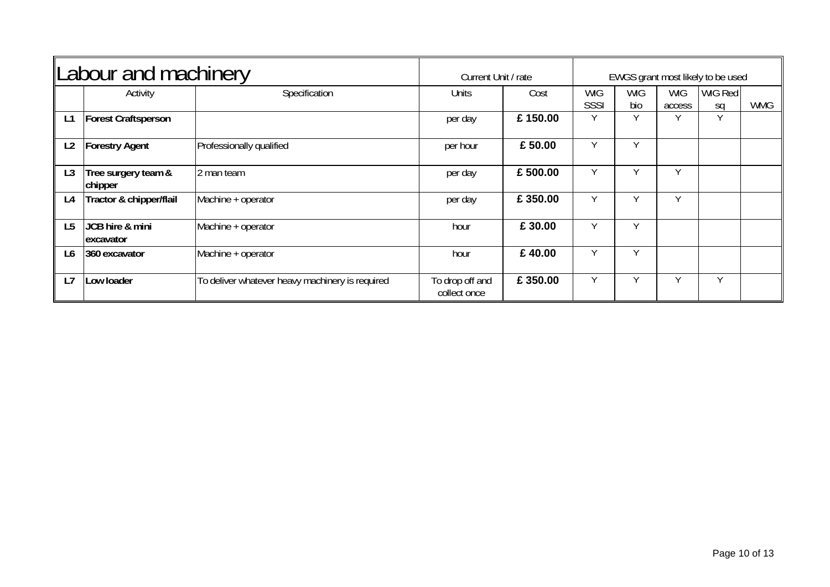|                | Labour and machinery           | Current Unit / rate                             |                                 | EWGS grant most likely to be used |                    |              |                      |                      |     |
|----------------|--------------------------------|-------------------------------------------------|---------------------------------|-----------------------------------|--------------------|--------------|----------------------|----------------------|-----|
|                | Activity                       | Specification                                   | Units                           | Cost                              | <b>WIG</b><br>SSSI | WIG<br>bio   | <b>WIG</b><br>access | <b>WIG Red</b><br>sq | WMG |
| L1             | <b>Forest Craftsperson</b>     |                                                 | per day                         | £150.00                           | $\sqrt{}$          | $\sqrt{}$    |                      | $\vee$               |     |
| L <sub>2</sub> | <b>Forestry Agent</b>          | Professionally qualified                        | per hour                        | £50.00                            | $\vee$             | $\vee$       |                      |                      |     |
| L <sub>3</sub> | Tree surgery team &<br>chipper | 2 man team                                      | per day                         | £500.00                           | $\vee$             | $\vee$       | V                    |                      |     |
| L4             | Tractor & chipper/flail        | Machine + operator                              | per day                         | £350.00                           | $\vee$             | $\checkmark$ | v                    |                      |     |
| L <sub>5</sub> | JCB hire & mini<br>excavator   | Machine + operator                              | hour                            | £30.00                            | $\sqrt{}$          | $\vee$       |                      |                      |     |
| L6             | 360 excavator                  | Machine + operator                              | hour                            | £40.00                            | $\sqrt{}$          | Y            |                      |                      |     |
| L <sub>7</sub> | Low loader                     | To deliver whatever heavy machinery is required | To drop off and<br>collect once | £350.00                           | $\vee$             | $\vee$       | $\vee$               | Y                    |     |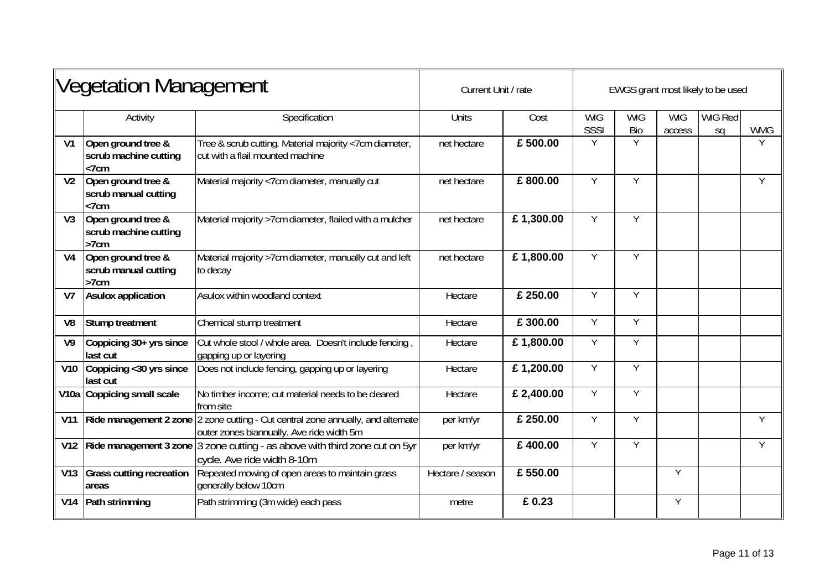|                | Vegetation Management                               |                                                                                                                               | Current Unit / rate |            | EWGS grant most likely to be used |                   |                      |                      |            |  |
|----------------|-----------------------------------------------------|-------------------------------------------------------------------------------------------------------------------------------|---------------------|------------|-----------------------------------|-------------------|----------------------|----------------------|------------|--|
|                | Activity                                            | Specification                                                                                                                 | Units               | Cost       | <b>WIG</b><br>SSSI                | <b>WIG</b><br>Bio | <b>WIG</b><br>access | <b>WIG Red</b><br>sq | <b>WMG</b> |  |
| V <sub>1</sub> | Open ground tree &<br>scrub machine cutting<br><7cm | Tree & scrub cutting. Material majority <7cm diameter,<br>cut with a flail mounted machine                                    | net hectare         | £500.00    | Y                                 | Y                 |                      |                      | V          |  |
| V <sub>2</sub> | Open ground tree &<br>scrub manual cutting<br><7cm  | Material majority <7cm diameter, manually cut                                                                                 | net hectare         | £800.00    | Y                                 | Y                 |                      |                      | Y          |  |
| V <sub>3</sub> | Open ground tree &<br>scrub machine cutting<br>>7cm | Material majority >7cm diameter, flailed with a mulcher                                                                       | net hectare         | £1,300.00  | Y                                 | Y                 |                      |                      |            |  |
| V <sub>4</sub> | Open ground tree &<br>scrub manual cutting<br>>7cm  | Material majority >7cm diameter, manually cut and left<br>to decay                                                            | net hectare         | £1,800.00  | Y                                 | Y                 |                      |                      |            |  |
| V <sub>7</sub> | Asulox application                                  | Asulox within woodland context                                                                                                | Hectare             | £ 250.00   | Y                                 | Y                 |                      |                      |            |  |
| V <sub>8</sub> | Stump treatment                                     | Chemical stump treatment                                                                                                      | Hectare             | £300.00    | Y                                 | Y                 |                      |                      |            |  |
| V <sub>9</sub> | Coppicing 30+ yrs since<br>last cut                 | Cut whole stool / whole area. Doesn't include fencing,<br>gapping up or layering                                              | Hectare             | £1,800.00  | Y                                 | Y                 |                      |                      |            |  |
| V10            | Coppicing <30 yrs since<br>last cut                 | Does not include fencing, gapping up or layering                                                                              | Hectare             | £1,200.00  | Y                                 | Y                 |                      |                      |            |  |
|                | V10a Coppicing small scale                          | No timber income; cut material needs to be cleared<br>from site                                                               | Hectare             | £ 2,400.00 | $\overline{Y}$                    | $\overline{Y}$    |                      |                      |            |  |
| V11            |                                                     | Ride management 2 zone 2 zone cutting - Cut central zone annually, and alternate<br>outer zones biannually. Ave ride width 5m | per km/yr           | £ 250.00   | Y                                 | Y                 |                      |                      | Y          |  |
| V12            |                                                     | Ride management 3 zone $ 3 \rangle$ zone cutting - as above with third zone cut on 5yr<br>cycle. Ave ride width 8-10m         | per km/yr           | £400.00    | Y                                 | Y                 |                      |                      | Y          |  |
| V13            | Grass cutting recreation<br>areas                   | Repeated mowing of open areas to maintain grass<br>generally below 10cm                                                       | Hectare / season    | £550.00    |                                   |                   | Y                    |                      |            |  |
| V14            | Path strimming                                      | Path strimming (3m wide) each pass                                                                                            | metre               | £0.23      |                                   |                   | Υ                    |                      |            |  |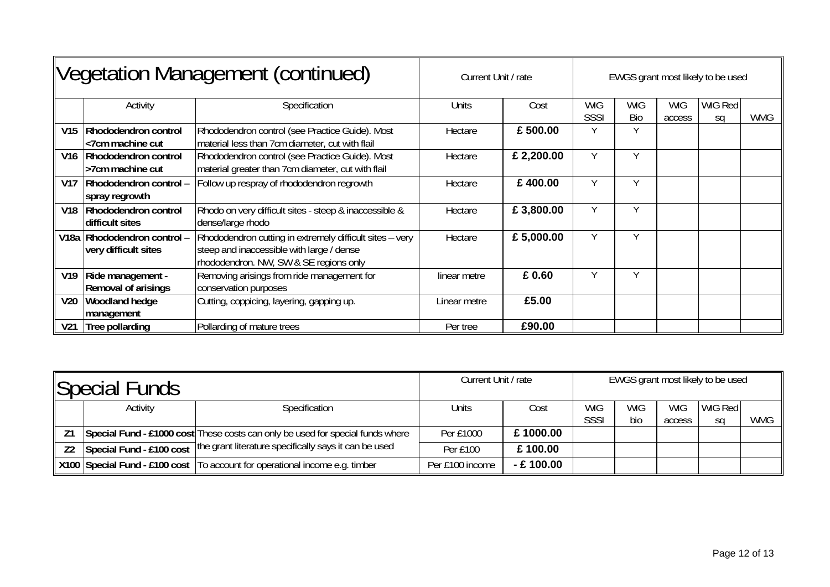| Vegetation Management (continued) |                                                                   |                                                                                                                                                 | Current Unit / rate |            | EWGS grant most likely to be used |                   |                      |                      |            |
|-----------------------------------|-------------------------------------------------------------------|-------------------------------------------------------------------------------------------------------------------------------------------------|---------------------|------------|-----------------------------------|-------------------|----------------------|----------------------|------------|
|                                   | Activity                                                          | Specification                                                                                                                                   | Units               | Cost       | <b>WIG</b><br>SSSI                | <b>WIG</b><br>Bio | <b>WIG</b><br>access | <b>WIG Red</b><br>sq | <b>WMG</b> |
| V15                               | Rhododendron control<br><7cm machine cut                          | Rhododendron control (see Practice Guide). Most<br>material less than 7cm diameter, cut with flail                                              | Hectare             | £500.00    | Y                                 | Y                 |                      |                      |            |
| V16                               | Rhododendron control<br>>7cm machine cut                          | Rhododendron control (see Practice Guide). Most<br>material greater than 7cm diameter, cut with flail                                           | Hectare             | £ 2,200.00 | Υ                                 | Υ                 |                      |                      |            |
| V17                               | Rhododendron control-<br>spray regrowth                           | Follow up respray of rhododendron regrowth                                                                                                      | Hectare             | £400.00    | Υ                                 | Υ                 |                      |                      |            |
| V18                               | Rhododendron control<br>difficult sites                           | Rhodo on very difficult sites - steep & inaccessible &<br>dense/large rhodo                                                                     | Hectare             | £3,800.00  | Y                                 | Y                 |                      |                      |            |
|                                   | V <sub>18a</sub>   Rhododendron control -<br>very difficult sites | Rhododendron cutting in extremely difficult sites - very<br>steep and inaccessible with large / dense<br>rhododendron. NW, SW & SE regions only | Hectare             | £5,000.00  | Υ                                 | Υ                 |                      |                      |            |
| V19                               | Ride management -<br>Removal of arisings                          | Removing arisings from ride management for<br>conservation purposes                                                                             | linear metre        | £0.60      | Υ                                 | Υ                 |                      |                      |            |
| V20                               | <b>Woodland hedge</b><br>management                               | Cutting, coppicing, layering, gapping up.                                                                                                       | Linear metre        | £5.00      |                                   |                   |                      |                      |            |
| V <sub>21</sub>                   | Tree pollarding                                                   | Pollarding of mature trees                                                                                                                      | Per tree            | £90.00     |                                   |                   |                      |                      |            |

| Special Funds  |          |                                                                                | Current Unit / rate |              | EWGS grant most likely to be used |                   |                      |                      |            |
|----------------|----------|--------------------------------------------------------------------------------|---------------------|--------------|-----------------------------------|-------------------|----------------------|----------------------|------------|
|                | Activity | Specification                                                                  | Units               | Cost         | <b>WIG</b><br>SSSI                | <b>WIG</b><br>bio | <b>WIG</b><br>access | <b>WIG Red</b><br>sa | <b>WMG</b> |
| Z1             |          | Special Fund - £1000 cost These costs can only be used for special funds where | Per £1000           | £1000.00     |                                   |                   |                      |                      |            |
| Z <sub>2</sub> |          | Special Fund - £100 cost the grant literature specifically says it can be used | Per £100            | £100.00      |                                   |                   |                      |                      |            |
|                |          | X100 Special Fund - £100 cost   To account for operational income e.g. timber  | Per £100 income     | $- E 100.00$ |                                   |                   |                      |                      |            |